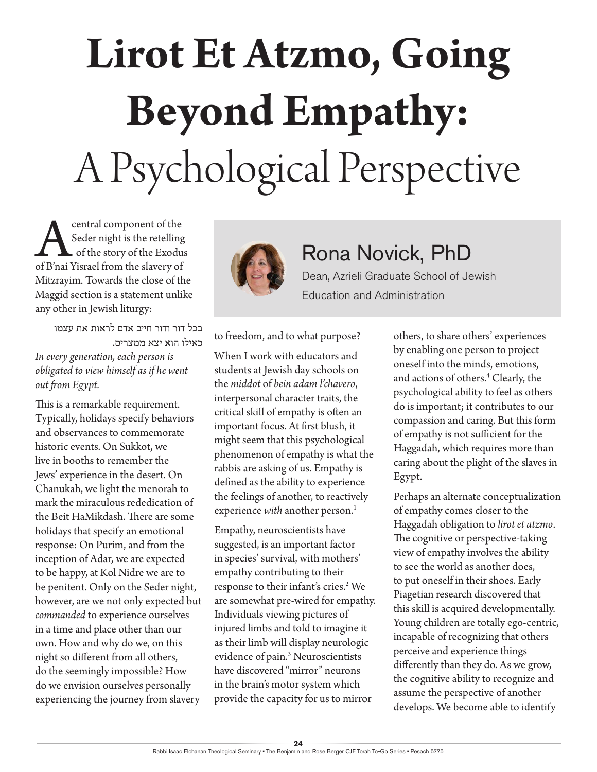## **Lirot Et Atzmo, Going Beyond Empathy:** A Psychological Perspective

**A** central component of the<br>Seder night is the retelling<br>of B'nai Yisrael from the slavery of Seder night is the retelling of the story of the Exodus of B'nai Yisrael from the slavery of Mitzrayim. Towards the close of the Maggid section is a statement unlike any other in Jewish liturgy:

בכל דור ודור חייב אדם לראות את עצמו כאילו הוא יצא ממצרים. *In every generation, each person is obligated to view himself as if he went out from Egypt.*

This is a remarkable requirement. Typically, holidays specify behaviors and observances to commemorate historic events. On Sukkot, we live in booths to remember the Jews' experience in the desert. On Chanukah, we light the menorah to mark the miraculous rededication of the Beit HaMikdash. There are some holidays that specify an emotional response: On Purim, and from the inception of Adar*,* we are expected to be happy, at Kol Nidre we are to be penitent. Only on the Seder night, however, are we not only expected but *commanded* to experience ourselves in a time and place other than our own. How and why do we, on this night so different from all others, do the seemingly impossible? How do we envision ourselves personally experiencing the journey from slavery



## Rona Novick, PhD

Dean, Azrieli Graduate School of Jewish Education and Administration

to freedom, and to what purpose?

When I work with educators and students at Jewish day schools on the *middot* of *bein adam l'chavero*, interpersonal character traits, the critical skill of empathy is often an important focus. At first blush, it might seem that this psychological phenomenon of empathy is what the rabbis are asking of us. Empathy is defined as the ability to experience the feelings of another, to reactively experience with another person.<sup>1</sup>

Empathy, neuroscientists have suggested, is an important factor in species' survival, with mothers' empathy contributing to their response to their infant's cries.<sup>2</sup> We are somewhat pre-wired for empathy. Individuals viewing pictures of injured limbs and told to imagine it as their limb will display neurologic evidence of pain.<sup>3</sup> Neuroscientists have discovered "mirror" neurons in the brain's motor system which provide the capacity for us to mirror

others, to share others' experiences by enabling one person to project oneself into the minds, emotions, and actions of others.4 Clearly, the psychological ability to feel as others do is important; it contributes to our compassion and caring. But this form of empathy is not sufficient for the Haggadah, which requires more than caring about the plight of the slaves in Egypt.

Perhaps an alternate conceptualization of empathy comes closer to the Haggadah obligation to *lirot et atzmo*. The cognitive or perspective-taking view of empathy involves the ability to see the world as another does, to put oneself in their shoes. Early Piagetian research discovered that this skill is acquired developmentally. Young children are totally ego-centric, incapable of recognizing that others perceive and experience things differently than they do. As we grow, the cognitive ability to recognize and assume the perspective of another develops. We become able to identify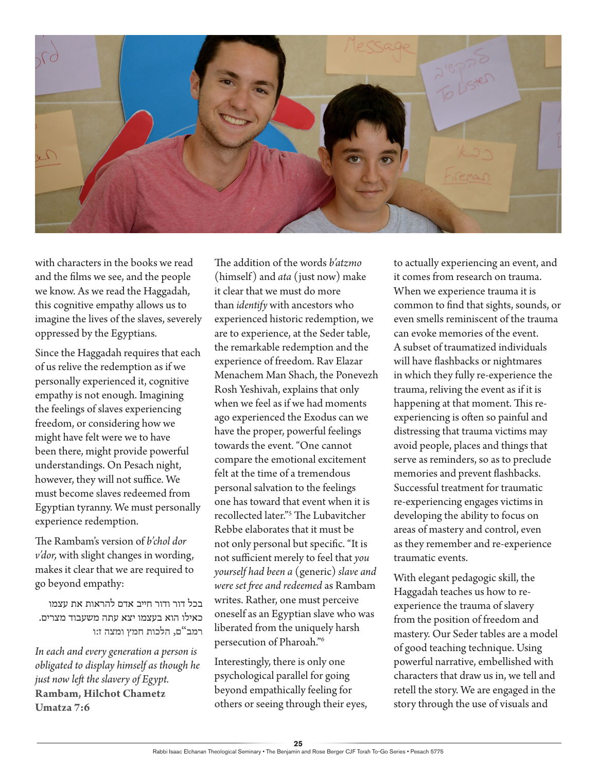

with characters in the books we read and the films we see, and the people we know. As we read the Haggadah, this cognitive empathy allows us to imagine the lives of the slaves, severely oppressed by the Egyptians.

Since the Haggadah requires that each of us relive the redemption as if we personally experienced it, cognitive empathy is not enough. Imagining the feelings of slaves experiencing freedom, or considering how we might have felt were we to have been there, might provide powerful understandings. On Pesach night, however, they will not suffice. We must become slaves redeemed from Egyptian tyranny. We must personally experience redemption.

The Rambam's version of *b'chol dor v'dor,* with slight changes in wording, makes it clear that we are required to go beyond empathy:

בכל דור ודור חייב אדם להראות את עצמו כאילו הוא בעצמו יצא עתה משעבוד מצרים. **רמב"ם, הלכות חמץ ומצה ז:ו**

*In each and every generation a person is obligated to display himself as though he just now left the slavery of Egypt.*  **Rambam, Hilchot Chametz Umatza 7:6**

The addition of the words *b'atzmo*  (himself) and *ata* (just now) make it clear that we must do more than *identify* with ancestors who experienced historic redemption, we are to experience, at the Seder table, the remarkable redemption and the experience of freedom. Rav Elazar Menachem Man Shach, the Ponevezh Rosh Yeshivah, explains that only when we feel as if we had moments ago experienced the Exodus can we have the proper, powerful feelings towards the event. "One cannot compare the emotional excitement felt at the time of a tremendous personal salvation to the feelings one has toward that event when it is recollected later."5 The Lubavitcher Rebbe elaborates that it must be not only personal but specific. "It is not sufficient merely to feel that *you yourself had been a* (generic) *slave and were set free and redeemed* as Rambam writes. Rather, one must perceive oneself as an Egyptian slave who was liberated from the uniquely harsh persecution of Pharoah."6

Interestingly, there is only one psychological parallel for going beyond empathically feeling for others or seeing through their eyes, to actually experiencing an event, and it comes from research on trauma. When we experience trauma it is common to find that sights, sounds, or even smells reminiscent of the trauma can evoke memories of the event. A subset of traumatized individuals will have flashbacks or nightmares in which they fully re-experience the trauma, reliving the event as if it is happening at that moment. This reexperiencing is often so painful and distressing that trauma victims may avoid people, places and things that serve as reminders, so as to preclude memories and prevent flashbacks. Successful treatment for traumatic re-experiencing engages victims in developing the ability to focus on areas of mastery and control, even as they remember and re-experience traumatic events.

With elegant pedagogic skill, the Haggadah teaches us how to reexperience the trauma of slavery from the position of freedom and mastery. Our Seder tables are a model of good teaching technique. Using powerful narrative, embellished with characters that draw us in, we tell and retell the story. We are engaged in the story through the use of visuals and